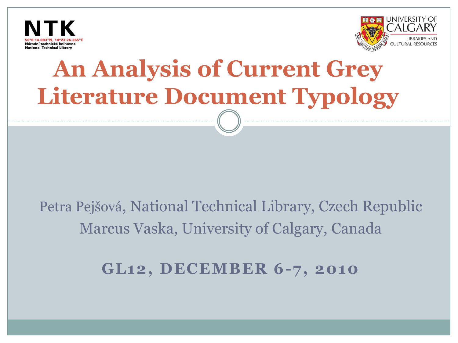



# **An Analysis of Current Grey Literature Document Typology**

### Petra Pejšová, National Technical Library, Czech Republic Marcus Vaska, University of Calgary, Canada

#### **GL12, DECEMBER 6-7, 2010**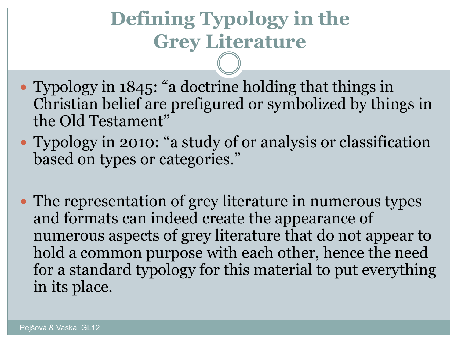### **Defining Typology in the Grey Literature**

- Typology in 1845: "a doctrine holding that things in Christian belief are prefigured or symbolized by things in the Old Testament"
- Typology in 2010: "a study of or analysis or classification based on types or categories."
- The representation of grey literature in numerous types and formats can indeed create the appearance of numerous aspects of grey literature that do not appear to hold a common purpose with each other, hence the need for a standard typology for this material to put everything in its place.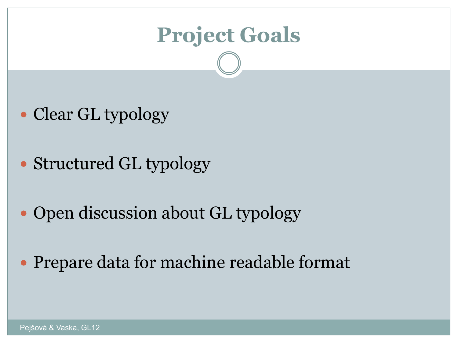### **Project Goals**

- Clear GL typology
- Structured GL typology
- Open discussion about GL typology
- Prepare data for machine readable format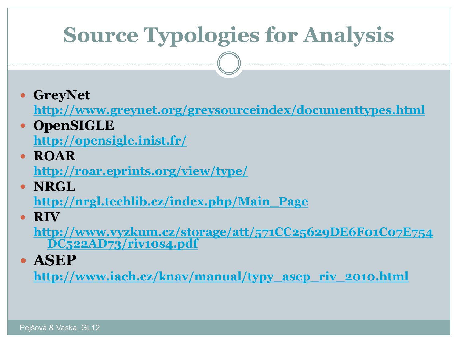## **Source Typologies for Analysis**

**GreyNet**

**<http://www.greynet.org/greysourceindex/documenttypes.html>**

**OpenSIGLE**

**<http://opensigle.inist.fr/>**

- **ROAR <http://roar.eprints.org/view/type/>**
- **NRGL**

**[http://nrgl.techlib.cz/index.php/Main\\_Page](http://nrgl.techlib.cz/index.php/Main_Page)**

**RIV**

**[http://www.vyzkum.cz/storage/att/571CC25629DE6F01C07E754](http://www.vyzkum.cz/storage/att/571CC25629DE6F01C07E754DC522AD73/riv10s4.pdf) [DC522AD73/riv10s4.pdf](http://www.vyzkum.cz/storage/att/571CC25629DE6F01C07E754DC522AD73/riv10s4.pdf)**

**ASEP**

**[http://www.iach.cz/knav/manual/typy\\_asep\\_riv\\_2010.html](http://www.iach.cz/knav/manual/typy_asep_riv_2010.html)**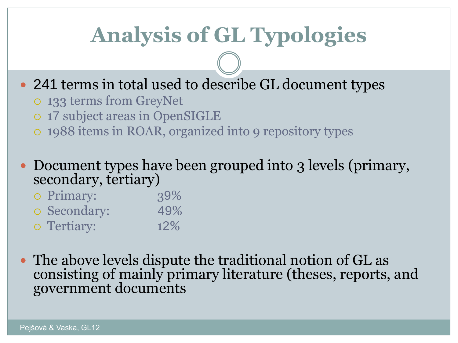## **Analysis of GL Typologies**

- 241 terms in total used to describe GL document types
	- 133 terms from GreyNet
	- 17 subject areas in OpenSIGLE
	- 1988 items in ROAR, organized into 9 repository types
- Document types have been grouped into 3 levels (primary, secondary, tertiary)

| o Primary:   | 39%    |
|--------------|--------|
| o Secondary: | 49%    |
| o Tertiary:  | $12\%$ |

 The above levels dispute the traditional notion of GL as consisting of mainly primary literature (theses, reports, and government documents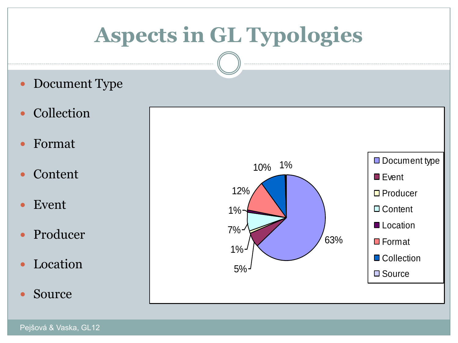## **Aspects in GL Typologies**

- Document Type
- Collection
- Format
- Content
- Event
- Producer
- Location
- Source

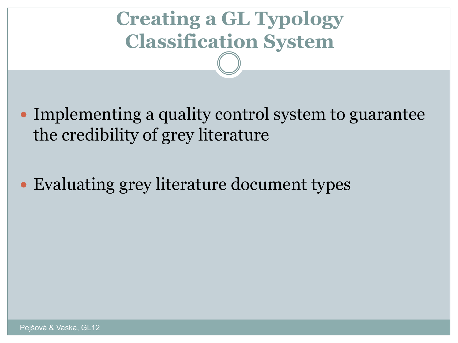## **Creating a GL Typology Classification System**

- Implementing a quality control system to guarantee the credibility of grey literature
- Evaluating grey literature document types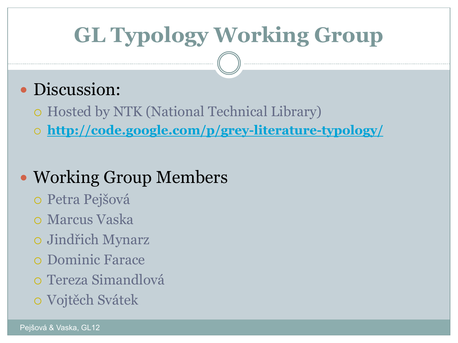## **GL Typology Working Group**

#### • Discussion:

Hosted by NTK (National Technical Library)

**<http://code.google.com/p/grey-literature-typology/>**

#### • Working Group Members

- Petra Pejšová
- Marcus Vaska
- Jindřich Mynarz
- Dominic Farace
- Tereza Simandlová
- Vojtěch Svátek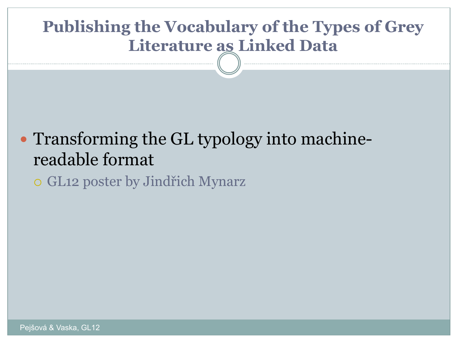#### **Publishing the Vocabulary of the Types of Grey Literature as Linked Data**

#### • Transforming the GL typology into machinereadable format

GL12 poster by Jindřich Mynarz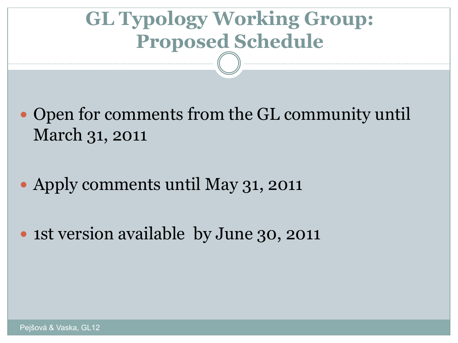### **GL Typology Working Group: Proposed Schedule**

- Open for comments from the GL community until March 31, 2011
- Apply comments until May 31, 2011
- 1st version available by June 30, 2011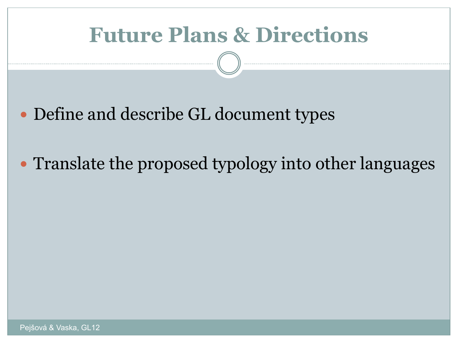### **Future Plans & Directions**

- Define and describe GL document types
- Translate the proposed typology into other languages